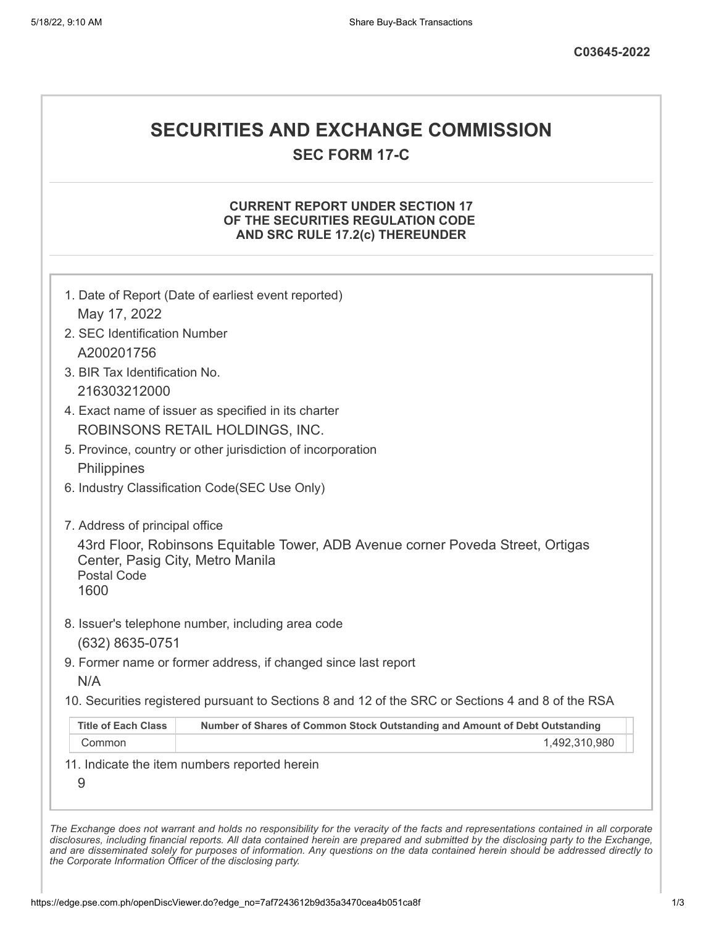# **SECURITIES AND EXCHANGE COMMISSION**

**SEC FORM 17-C**

# **CURRENT REPORT UNDER SECTION 17 OF THE SECURITIES REGULATION CODE AND SRC RULE 17.2(c) THEREUNDER**

| 2. SEC Identification Number                                   |                                                                                                   |
|----------------------------------------------------------------|---------------------------------------------------------------------------------------------------|
| A200201756                                                     |                                                                                                   |
| 3. BIR Tax Identification No.                                  |                                                                                                   |
| 216303212000                                                   |                                                                                                   |
|                                                                | 4. Exact name of issuer as specified in its charter                                               |
|                                                                | ROBINSONS RETAIL HOLDINGS, INC.                                                                   |
|                                                                | 5. Province, country or other jurisdiction of incorporation                                       |
| Philippines                                                    |                                                                                                   |
|                                                                | 6. Industry Classification Code(SEC Use Only)                                                     |
| 7. Address of principal office                                 |                                                                                                   |
| Center, Pasig City, Metro Manila<br><b>Postal Code</b><br>1600 | 43rd Floor, Robinsons Equitable Tower, ADB Avenue corner Poveda Street, Ortigas                   |
|                                                                | 8. Issuer's telephone number, including area code                                                 |
|                                                                |                                                                                                   |
| (632) 8635-0751                                                |                                                                                                   |
|                                                                | 9. Former name or former address, if changed since last report                                    |
| N/A                                                            | 10. Securities registered pursuant to Sections 8 and 12 of the SRC or Sections 4 and 8 of the RSA |
| <b>Title of Each Class</b>                                     | Number of Shares of Common Stock Outstanding and Amount of Debt Outstanding                       |
| Common                                                         | 1,492,310,980                                                                                     |

*the Corporate Information Officer of the disclosing party.*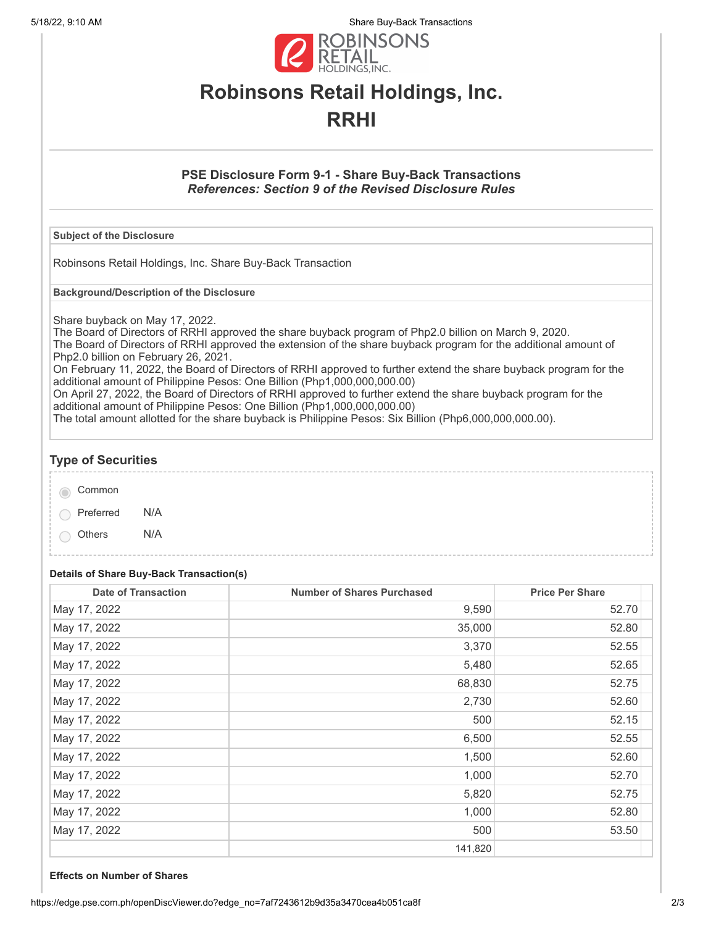5/18/22, 9:10 AM Share Buy-Back Transactions



# **Robinsons Retail Holdings, Inc. RRHI**

# **PSE Disclosure Form 9-1 - Share Buy-Back Transactions** *References: Section 9 of the Revised Disclosure Rules*

### **Subject of the Disclosure**

Robinsons Retail Holdings, Inc. Share Buy-Back Transaction

**Background/Description of the Disclosure**

Share buyback on May 17, 2022.

The Board of Directors of RRHI approved the share buyback program of Php2.0 billion on March 9, 2020. The Board of Directors of RRHI approved the extension of the share buyback program for the additional amount of Php2.0 billion on February 26, 2021.

On February 11, 2022, the Board of Directors of RRHI approved to further extend the share buyback program for the additional amount of Philippine Pesos: One Billion (Php1,000,000,000.00)

On April 27, 2022, the Board of Directors of RRHI approved to further extend the share buyback program for the additional amount of Philippine Pesos: One Billion (Php1,000,000,000.00)

The total amount allotted for the share buyback is Philippine Pesos: Six Billion (Php6,000,000,000.00).

# **Type of Securities**

| Common    |     |
|-----------|-----|
| Preferred | N/A |

Others N/A

# **Details of Share Buy-Back Transaction(s)**

| <b>Date of Transaction</b> | <b>Number of Shares Purchased</b> | <b>Price Per Share</b> |
|----------------------------|-----------------------------------|------------------------|
| May 17, 2022               | 9,590                             | 52.70                  |
| May 17, 2022               | 35,000                            | 52.80                  |
| May 17, 2022               | 3,370                             | 52.55                  |
| May 17, 2022               | 5,480                             | 52.65                  |
| May 17, 2022               | 68,830                            | 52.75                  |
| May 17, 2022               | 2,730                             | 52.60                  |
| May 17, 2022               | 500                               | 52.15                  |
| May 17, 2022               | 6,500                             | 52.55                  |
| May 17, 2022               | 1,500                             | 52.60                  |
| May 17, 2022               | 1,000                             | 52.70                  |
| May 17, 2022               | 5,820                             | 52.75                  |
| May 17, 2022               | 1,000                             | 52.80                  |
| May 17, 2022               | 500                               | 53.50                  |
|                            | 141,820                           |                        |

#### **Effects on Number of Shares**